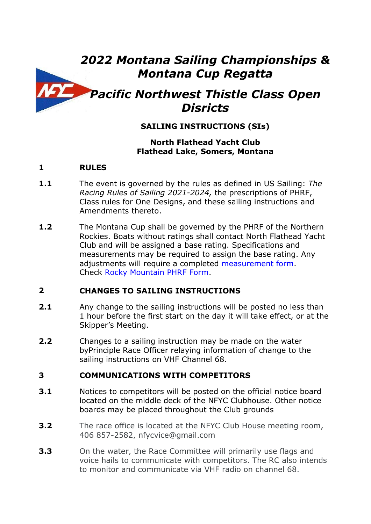# *2022 Montana Sailing Championships & Montana Cup Regatta*

# *Pacific Northwest Thistle Class Open Disricts*

# **SAILING INSTRUCTIONS (SIs)**

#### **North Flathead Yacht Club Flathead Lake, Somers, Montana**

### **1 RULES**

- **1.1** The event is governed by the rules as defined in US Sailing: *The Racing Rules of Sailing 2021-2024,* the prescriptions of PHRF, Class rules for One Designs, and these sailing instructions and Amendments thereto.
- **1.2** The Montana Cup shall be governed by the PHRF of the Northern Rockies. Boats without ratings shall contact North Flathead Yacht Club and will be assigned a base rating. Specifications and measurements may be required to assign the base rating. Any adjustments will require a completed [measurement form.](file:///C:/Users/Owner/Documents/2022%20NFYC%20Racing/Sail-Measurement-Form.pdf) Check [Rocky Mountain PHRF Form.](file:///C:/Users/Owner/Documents/2022%20NFYC%20Racing/Rocky%20Mountain%20PHRF%20rating%20list.pdf)

#### **2 CHANGES TO SAILING INSTRUCTIONS**

- **2.1** Any change to the sailing instructions will be posted no less than 1 hour before the first start on the day it will take effect, or at the Skipper's Meeting.
- **2.2** Changes to a sailing instruction may be made on the water byPrinciple Race Officer relaying information of change to the sailing instructions on VHF Channel 68.

### **3 COMMUNICATIONS WITH COMPETITORS**

- **3.1** Notices to competitors will be posted on the official notice board located on the middle deck of the NFYC Clubhouse. Other notice boards may be placed throughout the Club grounds
- **3.2** The race office is located at the NFYC Club House meeting room, 406 857-2582, nfycvice@gmail.com
- **3.3** On the water, the Race Committee will primarily use flags and voice hails to communicate with competitors. The RC also intends to monitor and communicate via VHF radio on channel 68.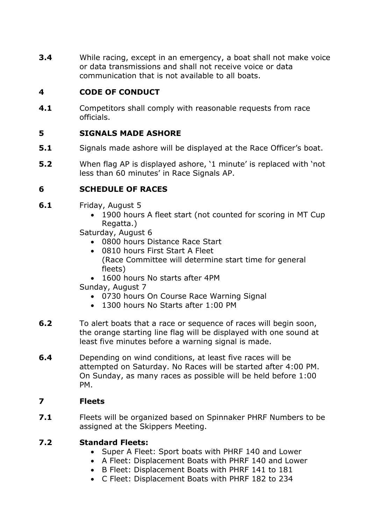**3.4** While racing, except in an emergency, a boat shall not make voice or data transmissions and shall not receive voice or data communication that is not available to all boats.

## **4 CODE OF CONDUCT**

**4.1** Competitors shall comply with reasonable requests from race officials.

# **5 SIGNALS MADE ASHORE**

- **5.1** Signals made ashore will be displayed at the Race Officer's boat.
- **5.2** When flag AP is displayed ashore, '1 minute' is replaced with 'not less than 60 minutes' in Race Signals AP.

# **6 SCHEDULE OF RACES**

- **6.1** Friday, August 5
	- 1900 hours A fleet start (not counted for scoring in MT Cup Regatta.)

Saturday, August 6

- 0800 hours Distance Race Start
- 0810 hours First Start A Fleet (Race Committee will determine start time for general fleets)
- 1600 hours No starts after 4PM
- Sunday, August 7
	- 0730 hours On Course Race Warning Signal
	- 1300 hours No Starts after 1:00 PM
- **6.2** To alert boats that a race or sequence of races will begin soon, the orange starting line flag will be displayed with one sound at least five minutes before a warning signal is made.
- **6.4** Depending on wind conditions, at least five races will be attempted on Saturday. No Races will be started after 4:00 PM. On Sunday, as many races as possible will be held before 1:00 PM.

### **7 Fleets**

**7.1** Fleets will be organized based on Spinnaker PHRF Numbers to be assigned at the Skippers Meeting.

### **7.2 Standard Fleets:**

- Super A Fleet: Sport boats with PHRF 140 and Lower
- A Fleet: Displacement Boats with PHRF 140 and Lower
- B Fleet: Displacement Boats with PHRF 141 to 181
- C Fleet: Displacement Boats with PHRF 182 to 234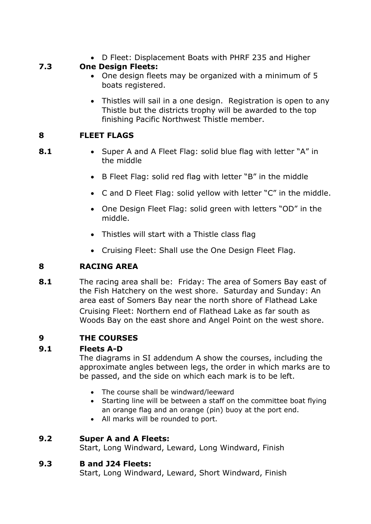• D Fleet: Displacement Boats with PHRF 235 and Higher

# **7.3 One Design Fleets:**

- One design fleets may be organized with a minimum of 5 boats registered.
- Thistles will sail in a one design. Registration is open to any Thistle but the districts trophy will be awarded to the top finishing Pacific Northwest Thistle member.

# **8 FLEET FLAGS**

- 
- **8.1** Super A and A Fleet Flag: solid blue flag with letter "A" in the middle
	- B Fleet Flag: solid red flag with letter "B" in the middle
	- C and D Fleet Flag: solid yellow with letter "C" in the middle.
	- One Design Fleet Flag: solid green with letters "OD" in the middle.
	- Thistles will start with a Thistle class flag
	- Cruising Fleet: Shall use the One Design Fleet Flag.

# **8 RACING AREA**

**8.1** The racing area shall be: Friday: The area of Somers Bay east of the Fish Hatchery on the west shore. Saturday and Sunday: An area east of Somers Bay near the north shore of Flathead Lake Cruising Fleet: Northern end of Flathead Lake as far south as Woods Bay on the east shore and Angel Point on the west shore.

# **9 THE COURSES**

### **9.1 Fleets A-D**

The diagrams in SI addendum A show the courses, including the approximate angles between legs, the order in which marks are to be passed, and the side on which each mark is to be left.

- The course shall be windward/leeward
- Starting line will be between a staff on the committee boat flying an orange flag and an orange (pin) buoy at the port end.
- All marks will be rounded to port.

### **9.2 Super A and A Fleets:**

Start, Long Windward, Leward, Long Windward, Finish

### **9.3 B and J24 Fleets:**

Start, Long Windward, Leward, Short Windward, Finish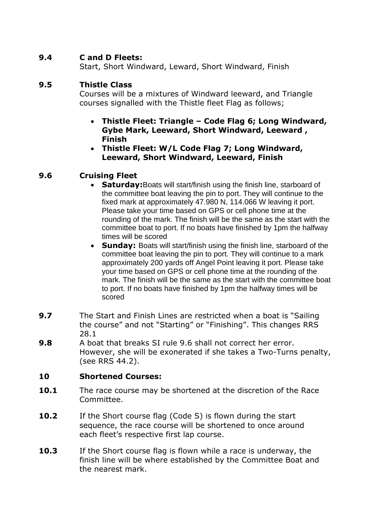#### **9.4 C and D Fleets:**

Start, Short Windward, Leward, Short Windward, Finish

#### **9.5 Thistle Class**

Courses will be a mixtures of Windward leeward, and Triangle courses signalled with the Thistle fleet Flag as follows;

- **Thistle Fleet: Triangle – Code Flag 6; Long Windward, Gybe Mark, Leeward, Short Windward, Leeward , Finish**
- **Thistle Fleet: W/L Code Flag 7; Long Windward, Leeward, Short Windward, Leeward, Finish**

### **9.6 Cruising Fleet**

- **Saturday:**Boats will start/finish using the finish line, starboard of the committee boat leaving the pin to port. They will continue to the fixed mark at approximately 47.980 N, 114.066 W leaving it port. Please take your time based on GPS or cell phone time at the rounding of the mark. The finish will be the same as the start with the committee boat to port. If no boats have finished by 1pm the halfway times will be scored
- **Sunday:** Boats will start/finish using the finish line, starboard of the committee boat leaving the pin to port. They will continue to a mark approximately 200 yards off Angel Point leaving it port. Please take your time based on GPS or cell phone time at the rounding of the mark. The finish will be the same as the start with the committee boat to port. If no boats have finished by 1pm the halfway times will be scored
- **9.7** The Start and Finish Lines are restricted when a boat is "Sailing" the course" and not "Starting" or "Finishing". This changes RRS 28.1
- **9.8** A boat that breaks SI rule 9.6 shall not correct her error. However, she will be exonerated if she takes a Two-Turns penalty, (see RRS 44.2).

### **10 Shortened Courses:**

- **10.1** The race course may be shortened at the discretion of the Race Committee.
- **10.2** If the Short course flag (Code S) is flown during the start sequence, the race course will be shortened to once around each fleet's respective first lap course.
- **10.3** If the Short course flag is flown while a race is underway, the finish line will be where established by the Committee Boat and the nearest mark.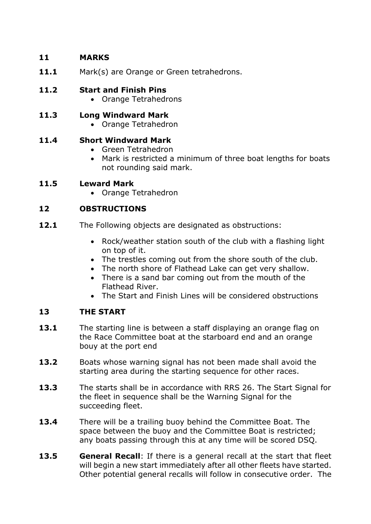## **11 MARKS**

11.1 Mark(s) are Orange or Green tetrahedrons.

# **11.2 Start and Finish Pins**

- Orange Tetrahedrons
- **11.3 Long Windward Mark**
	- Orange Tetrahedron

# **11.4 Short Windward Mark**

- Green Tetrahedron
- Mark is restricted a minimum of three boat lengths for boats not rounding said mark.

# **11.5 Leward Mark**

• Orange Tetrahedron

# **12 OBSTRUCTIONS**

- **12.1** The Following objects are designated as obstructions:
	- Rock/weather station south of the club with a flashing light on top of it.
	- The trestles coming out from the shore south of the club.
	- The north shore of Flathead Lake can get very shallow.
	- There is a sand bar coming out from the mouth of the Flathead River.
	- The Start and Finish Lines will be considered obstructions

# **13 THE START**

- **13.1** The starting line is between a staff displaying an orange flag on the Race Committee boat at the starboard end and an orange bouy at the port end
- **13.2** Boats whose warning signal has not been made shall avoid the starting area during the starting sequence for other races.
- **13.3** The starts shall be in accordance with RRS 26. The Start Signal for the fleet in sequence shall be the Warning Signal for the succeeding fleet.
- **13.4** There will be a trailing buoy behind the Committee Boat. The space between the buoy and the Committee Boat is restricted; any boats passing through this at any time will be scored DSQ.
- **13.5 General Recall**: If there is a general recall at the start that fleet will begin a new start immediately after all other fleets have started. Other potential general recalls will follow in consecutive order. The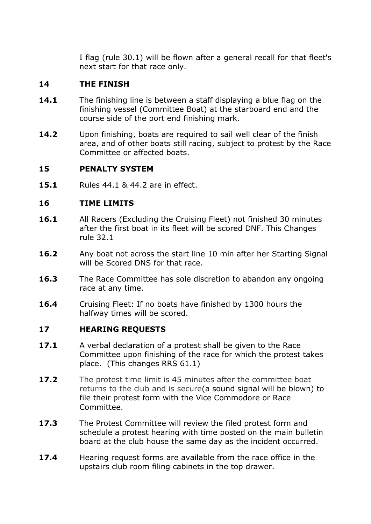I flag (rule 30.1) will be flown after a general recall for that fleet's next start for that race only.

#### **14 THE FINISH**

- **14.1** The finishing line is between a staff displaying a blue flag on the finishing vessel (Committee Boat) at the starboard end and the course side of the port end finishing mark.
- **14.2** Upon finishing, boats are required to sail well clear of the finish area, and of other boats still racing, subject to protest by the Race Committee or affected boats.

#### **15 PENALTY SYSTEM**

**15.1** Rules 44.1 & 44.2 are in effect.

#### **16 TIME LIMITS**

- **16.1** All Racers (Excluding the Cruising Fleet) not finished 30 minutes after the first boat in its fleet will be scored DNF. This Changes rule 32.1
- 16.2 Any boat not across the start line 10 min after her Starting Signal will be Scored DNS for that race.
- 16.3 The Race Committee has sole discretion to abandon any ongoing race at any time.
- **16.4** Cruising Fleet: If no boats have finished by 1300 hours the halfway times will be scored.

#### **17 HEARING REQUESTS**

- **17.1** A verbal declaration of a protest shall be given to the Race Committee upon finishing of the race for which the protest takes place. (This changes RRS 61.1)
- **17.2** The protest time limit is 45 minutes after the committee boat returns to the club and is secure(a sound signal will be blown) to file their protest form with the Vice Commodore or Race Committee.
- **17.3** The Protest Committee will review the filed protest form and schedule a protest hearing with time posted on the main bulletin board at the club house the same day as the incident occurred.
- **17.4** Hearing request forms are available from the race office in the upstairs club room filing cabinets in the top drawer.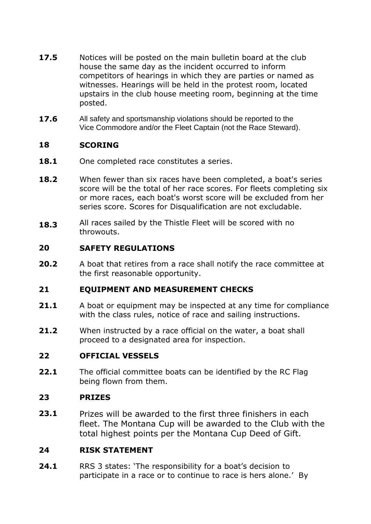- **17.5** Notices will be posted on the main bulletin board at the club house the same day as the incident occurred to inform competitors of hearings in which they are parties or named as witnesses. Hearings will be held in the protest room, located upstairs in the club house meeting room, beginning at the time posted.
- **17.6** All safety and sportsmanship violations should be reported to the Vice Commodore and/or the Fleet Captain (not the Race Steward).

#### **18 SCORING**

- 18.1 One completed race constitutes a series.
- **18.2** When fewer than six races have been completed, a boat's series score will be the total of her race scores. For fleets completing six or more races, each boat's worst score will be excluded from her series score. Scores for Disqualification are not excludable.
- **18.3** All races sailed by the Thistle Fleet will be scored with no throwouts.

#### **20 SAFETY REGULATIONS**

**20.2** A boat that retires from a race shall notify the race committee at the first reasonable opportunity.

#### **21 EQUIPMENT AND MEASUREMENT CHECKS**

- **21.1** A boat or equipment may be inspected at any time for compliance with the class rules, notice of race and sailing instructions.
- **21.2** When instructed by a race official on the water, a boat shall proceed to a designated area for inspection.

#### **22 OFFICIAL VESSELS**

**22.1** The official committee boats can be identified by the RC Flag being flown from them.

#### **23 PRIZES**

**23.1** Prizes will be awarded to the first three finishers in each fleet. The Montana Cup will be awarded to the Club with the total highest points per the Montana Cup Deed of Gift.

#### **24 RISK STATEMENT**

**24.1** RRS 3 states: 'The responsibility for a boat's decision to participate in a race or to continue to race is hers alone.' By